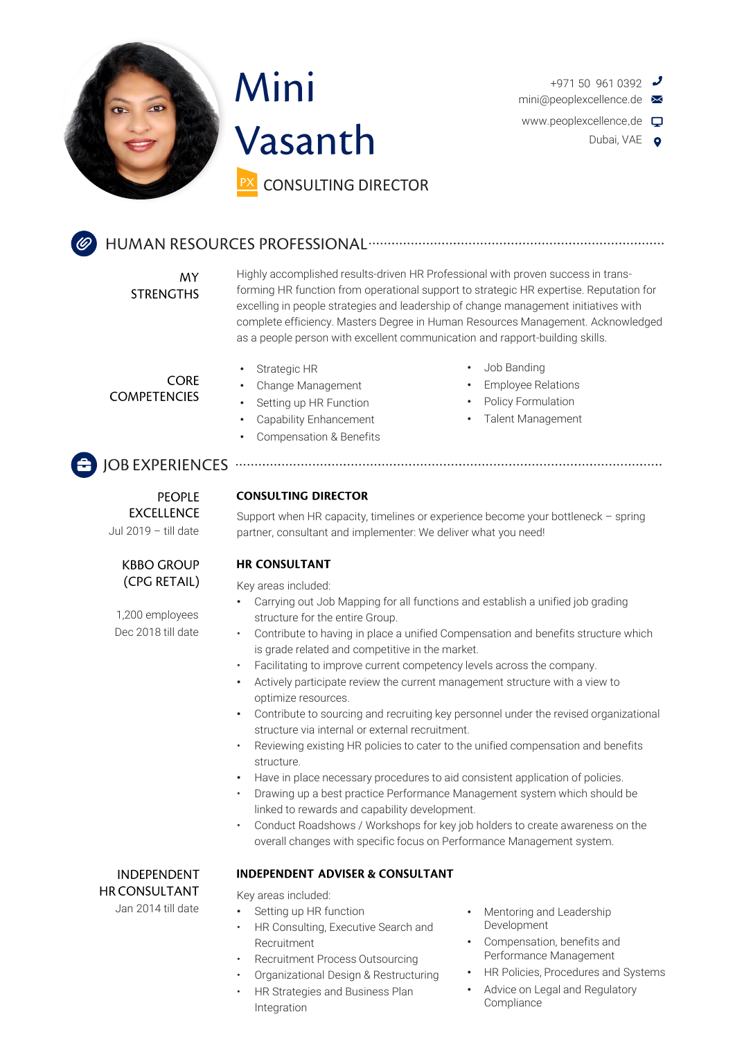



 $+97150$  961 0392  $\rightarrow$ mini@peoplexcellence.de www.peoplexcellence.de Dubai, VAE **Q** 

**MY STRENGTHS**  Highly accomplished results-driven HR Professional with proven success in transforming HR function from operational support to strategic HR expertise. Reputation for excelling in people strategies and leadership of change management initiatives with complete efficiency. Masters Degree in Human Resources Management. Acknowledged as a people person with excellent communication and rapport-building skills.

**CORE COMPETENCIES** 

- Strategic HR
	- Change Management
	- Setting up HR Function
- Capability Enhancement
- Compensation & Benefits
- Job Banding
- Employee Relations
- Policy Formulation
- Talent Management

## 

**PFOPLE EXCELLENCE** Jul 2019 – till date

#### **KBBO GROUP** (CPG RETAIL)

Dec 2018 till date 1,200 employees

#### **CONSULTING DIRECTOR**

Support when HR capacity, timelines or experience become your bottleneck – spring partner, consultant and implementer: We deliver what you need!

#### **HR CONSULTANT**

Key areas included:

- Carrying out Job Mapping for all functions and establish a unified job grading structure for the entire Group.
- Contribute to having in place a unified Compensation and benefits structure which is grade related and competitive in the market.
- Facilitating to improve current competency levels across the company.
- Actively participate review the current management structure with a view to optimize resources.
- Contribute to sourcing and recruiting key personnel under the revised organizational structure via internal or external recruitment.
- Reviewing existing HR policies to cater to the unified compensation and benefits structure.
- Have in place necessary procedures to aid consistent application of policies.
- Drawing up a best practice Performance Management system which should be linked to rewards and capability development.
- Conduct Roadshows / Workshops for key job holders to create awareness on the overall changes with specific focus on Performance Management system.

**INDEPENDENT HR CONSULTANT** 

Jan 2014 till date

#### **INDEPENDENT ADVISER & CONSULTANT**

Key areas included:

- Setting up HR function
- HR Consulting, Executive Search and Recruitment
- Recruitment Process Outsourcing
- Organizational Design & Restructuring
- HR Strategies and Business Plan Integration
- Mentoring and Leadership Development
- Compensation, benefits and Performance Management
- HR Policies, Procedures and Systems
- Advice on Legal and Regulatory Compliance